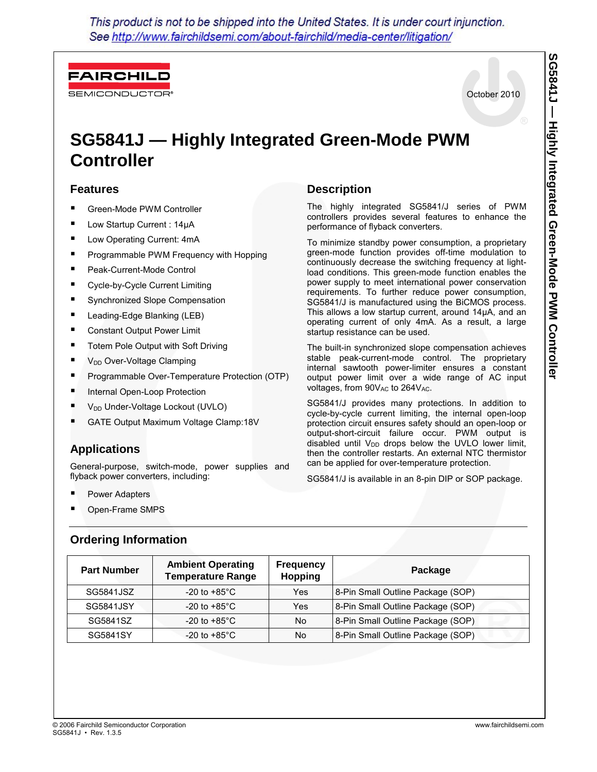This product is not to be shipped into the United States. It is under court injunction. See http://www.fairchildsemi.com/about-fairchild/media-center/litigation/

**FAIRCHILD** 

SEMICONDUCTOR

October 2010

# **SG5841J — Highly Integrated Green-Mode PWM Controller**

#### **Features**

- Green-Mode PWM Controller
- Low Startup Current : 14µA
- **Low Operating Current: 4mA**
- **Programmable PWM Frequency with Hopping**
- Peak-Current-Mode Control
- Cycle-by-Cycle Current Limiting
- Synchronized Slope Compensation
- Leading-Edge Blanking (LEB)
- Constant Output Power Limit
- Totem Pole Output with Soft Driving
- $\blacksquare$  V<sub>DD</sub> Over-Voltage Clamping
- **Programmable Over-Temperature Protection (OTP)**
- **Internal Open-Loop Protection**
- V<sub>DD</sub> Under-Voltage Lockout (UVLO)
- GATE Output Maximum Voltage Clamp:18V

## **Applications**

General-purpose, switch-mode, power supplies and flyback power converters, including:

- Power Adapters
- Open-Frame SMPS

# **Description**

The highly integrated SG5841/J series of PWM controllers provides several features to enhance the performance of flyback converters.

To minimize standby power consumption, a proprietary green-mode function provides off-time modulation to continuously decrease the switching frequency at lightload conditions. This green-mode function enables the power supply to meet international power conservation requirements. To further reduce power consumption, SG5841/J is manufactured using the BiCMOS process. This allows a low startup current, around 14µA, and an operating current of only 4mA. As a result, a large startup resistance can be used.

The built-in synchronized slope compensation achieves stable peak-current-mode control. The proprietary internal sawtooth power-limiter ensures a constant output power limit over a wide range of AC input voltages, from 90VAC to 264VAC.

SG5841/J provides many protections. In addition to cycle-by-cycle current limiting, the internal open-loop protection circuit ensures safety should an open-loop or output-short-circuit failure occur. PWM output is disabled until  $V_{DD}$  drops below the UVLO lower limit, then the controller restarts. An external NTC thermistor can be applied for over-temperature protection.

SG5841/J is available in an 8-pin DIP or SOP package.

| <b>Part Number</b> | <b>Ambient Operating</b><br><b>Temperature Range</b> | <b>Frequency</b><br><b>Hopping</b> | Package                           |
|--------------------|------------------------------------------------------|------------------------------------|-----------------------------------|
| SG5841JSZ          | $-20$ to $+85^{\circ}$ C                             | Yes                                | 8-Pin Small Outline Package (SOP) |
| SG5841JSY          | $-20$ to $+85^{\circ}$ C                             | Yes                                | 8-Pin Small Outline Package (SOP) |
| SG5841SZ           | -20 to +85 $^{\circ}$ C                              | No.                                | 8-Pin Small Outline Package (SOP) |
| SG5841SY           | -20 to +85 $^{\circ}$ C                              | No.                                | 8-Pin Small Outline Package (SOP) |

#### **Ordering Information**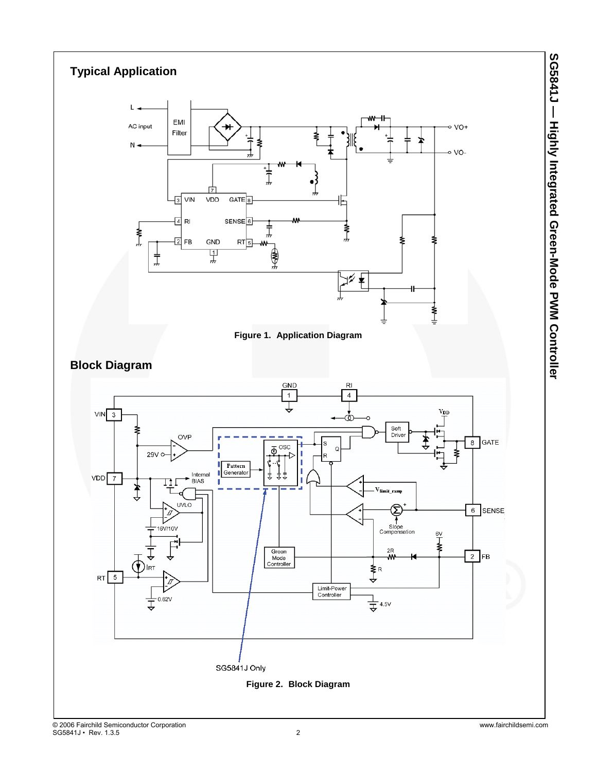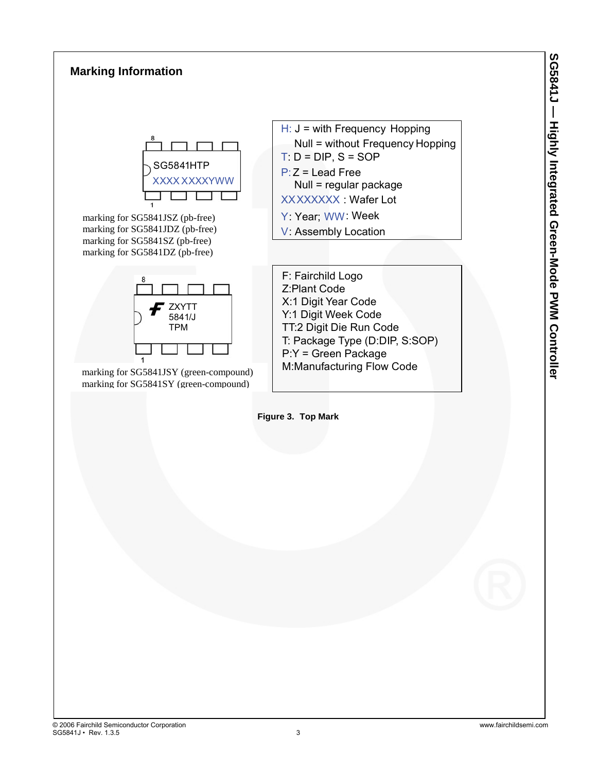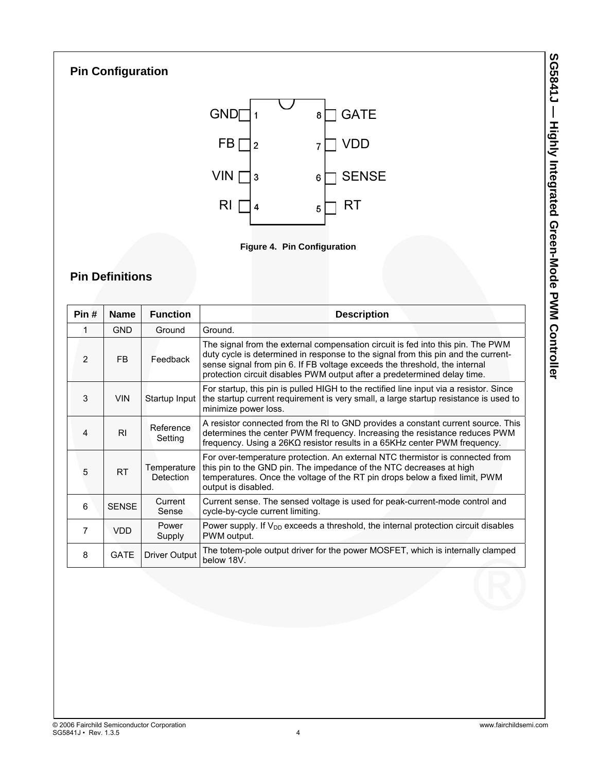# **Pin Configuration**





# **Pin Definitions**

| Pin#           | <b>Name</b>    | <b>Function</b>          | <b>Description</b>                                                                                                                                                                                                                                                                                                             |
|----------------|----------------|--------------------------|--------------------------------------------------------------------------------------------------------------------------------------------------------------------------------------------------------------------------------------------------------------------------------------------------------------------------------|
| 1              | <b>GND</b>     | Ground                   | Ground.                                                                                                                                                                                                                                                                                                                        |
| $\overline{2}$ | <b>FB</b>      | Feedback                 | The signal from the external compensation circuit is fed into this pin. The PWM<br>duty cycle is determined in response to the signal from this pin and the current-<br>sense signal from pin 6. If FB voltage exceeds the threshold, the internal<br>protection circuit disables PWM output after a predetermined delay time. |
| 3              | <b>VIN</b>     | Startup Input            | For startup, this pin is pulled HIGH to the rectified line input via a resistor. Since<br>the startup current requirement is very small, a large startup resistance is used to<br>minimize power loss.                                                                                                                         |
| 4              | R <sub>l</sub> | Reference<br>Setting     | A resistor connected from the RI to GND provides a constant current source. This<br>determines the center PWM frequency. Increasing the resistance reduces PWM<br>frequency. Using a 26KΩ resistor results in a 65KHz center PWM frequency.                                                                                    |
| 5              | <b>RT</b>      | Temperature<br>Detection | For over-temperature protection. An external NTC thermistor is connected from<br>this pin to the GND pin. The impedance of the NTC decreases at high<br>temperatures. Once the voltage of the RT pin drops below a fixed limit, PWM<br>output is disabled.                                                                     |
| 6              | <b>SENSE</b>   | Current<br>Sense         | Current sense. The sensed voltage is used for peak-current-mode control and<br>cycle-by-cycle current limiting.                                                                                                                                                                                                                |
| $\overline{7}$ | VDD.           | Power<br>Supply          | Power supply. If $V_{DD}$ exceeds a threshold, the internal protection circuit disables<br>PWM output.                                                                                                                                                                                                                         |
| 8              | <b>GATE</b>    | <b>Driver Output</b>     | The totem-pole output driver for the power MOSFET, which is internally clamped<br>below 18V.                                                                                                                                                                                                                                   |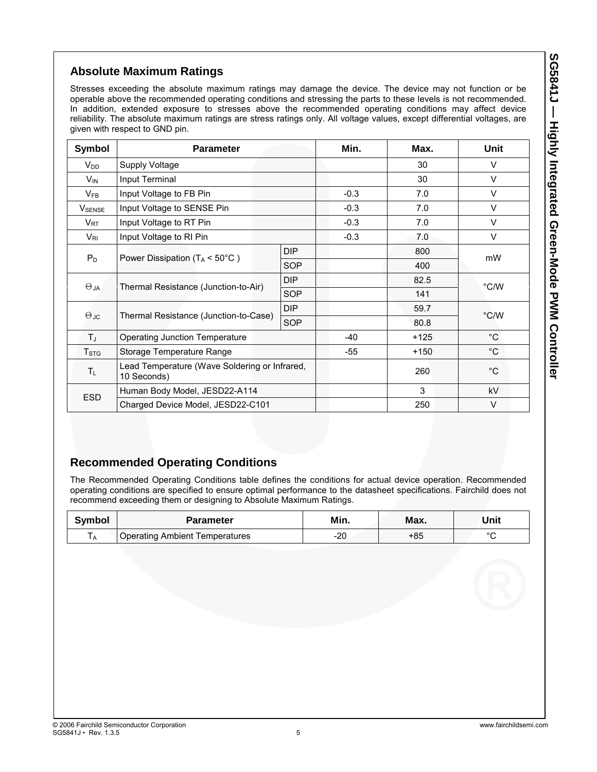## **Absolute Maximum Ratings**

Stresses exceeding the absolute maximum ratings may damage the device. The device may not function or be operable above the recommended operating conditions and stressing the parts to these levels is not recommended. In addition, extended exposure to stresses above the recommended operating conditions may affect device reliability. The absolute maximum ratings are stress ratings only. All voltage values, except differential voltages, are given with respect to GND pin.

| <b>Symbol</b>    | <b>Parameter</b>                                             |            | Min.   | Max.   | Unit          |
|------------------|--------------------------------------------------------------|------------|--------|--------|---------------|
| $V_{DD}$         | Supply Voltage                                               |            |        | 30     | V             |
| V <sub>IN</sub>  | Input Terminal                                               |            |        | 30     | V             |
| $V_{FB}$         | Input Voltage to FB Pin                                      |            | $-0.3$ | 7.0    | V             |
| <b>V</b> SENSE   | Input Voltage to SENSE Pin                                   |            | $-0.3$ | 7.0    | V             |
| $V_{\sf RT}$     | Input Voltage to RT Pin                                      |            | $-0.3$ | 7.0    | V             |
| $V_{\rm RI}$     | Input Voltage to RI Pin                                      |            | $-0.3$ | 7.0    | V             |
|                  |                                                              | <b>DIP</b> |        | 800    | mW            |
| $P_D$            | Power Dissipation ( $T_A < 50^{\circ}$ C)                    | <b>SOP</b> |        | 400    |               |
|                  | <b>DIP</b>                                                   |            |        | 82.5   | °C/W          |
| $\Theta$ JA      | Thermal Resistance (Junction-to-Air)                         | <b>SOP</b> |        | 141    |               |
|                  |                                                              | <b>DIP</b> |        | 59.7   |               |
| $\Theta$ JC      | Thermal Resistance (Junction-to-Case)                        | <b>SOP</b> |        | 80.8   | $\degree$ C/W |
| ТJ               | <b>Operating Junction Temperature</b>                        |            | $-40$  | $+125$ | $^{\circ}$ C  |
| T <sub>STG</sub> | Storage Temperature Range                                    |            | -55    | $+150$ | $^{\circ}$ C  |
| $T_L$            | Lead Temperature (Wave Soldering or Infrared,<br>10 Seconds) |            |        | 260    | $^{\circ}C$   |
|                  | Human Body Model, JESD22-A114                                |            |        | 3      | kV            |
| <b>ESD</b>       | Charged Device Model, JESD22-C101                            |            |        | 250    | $\vee$        |

# **Recommended Operating Conditions**

The Recommended Operating Conditions table defines the conditions for actual device operation. Recommended operating conditions are specified to ensure optimal performance to the datasheet specifications. Fairchild does not recommend exceeding them or designing to Absolute Maximum Ratings.

| Svmbol         | <b>Parameter</b>                        | Min.  | Max. | Unit    |
|----------------|-----------------------------------------|-------|------|---------|
| $\overline{A}$ | <b>I Operating Ambient Temperatures</b> | $-20$ | +85  | $\circ$ |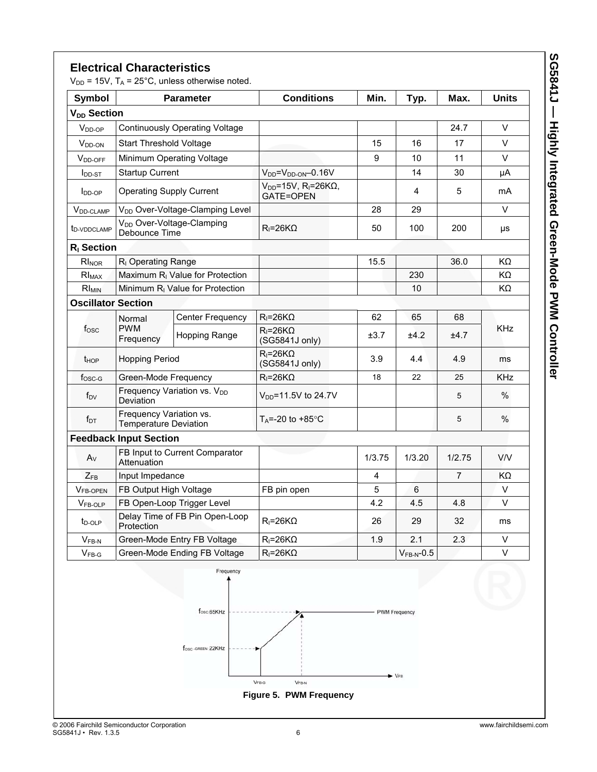| Symbol                     | <b>Parameter</b>                                        |                                             | <b>Conditions</b>                                        | Min.   | Typ.            | Max.           | <b>Units</b> |
|----------------------------|---------------------------------------------------------|---------------------------------------------|----------------------------------------------------------|--------|-----------------|----------------|--------------|
| V <sub>DD</sub> Section    |                                                         |                                             |                                                          |        |                 |                |              |
| $VDD-OP$                   |                                                         | Continuously Operating Voltage              |                                                          |        |                 | 24.7           | $\vee$       |
| $V_{DD-ON}$                | <b>Start Threshold Voltage</b>                          |                                             |                                                          | 15     | 16              | 17             | V            |
| <b>V</b> <sub>DD-OFF</sub> |                                                         | Minimum Operating Voltage                   |                                                          | 9      | 10              | 11             | V            |
| $I_{\text{DD-ST}}$         | <b>Startup Current</b>                                  |                                             | $V_{DD} = V_{DD-ON} - 0.16V$                             |        | 14              | 30             | μA           |
| $I_{DD-OP}$                | <b>Operating Supply Current</b>                         |                                             | $V_{DD}$ =15V, R <sub>I</sub> =26KΩ,<br><b>GATE=OPEN</b> |        | 4               | 5              | mA           |
| V <sub>DD-CLAMP</sub>      |                                                         | V <sub>DD</sub> Over-Voltage-Clamping Level |                                                          | 28     | 29              |                | V            |
| t <sub>D-VDDCLAMP</sub>    | V <sub>DD</sub> Over-Voltage-Clamping<br>Debounce Time  |                                             | $R_1 = 26K\Omega$                                        | 50     | 100             | 200            | μs           |
| R <sub>I</sub> Section     |                                                         |                                             |                                                          |        |                 |                |              |
| RINOR                      | R <sub>I</sub> Operating Range                          |                                             |                                                          | 15.5   |                 | 36.0           | KΩ           |
| $RI_{MAX}$                 |                                                         | Maximum R <sub>I</sub> Value for Protection |                                                          |        | 230             |                | KΩ           |
| RI <sub>MIN</sub>          | Minimum R <sub>I</sub> Value for Protection             |                                             |                                                          |        | 10              |                | KΩ           |
| <b>Oscillator Section</b>  |                                                         |                                             |                                                          |        |                 |                |              |
|                            | Normal                                                  | <b>Center Frequency</b>                     | $R_{I} = 26K\Omega$                                      | 62     | 65              | 68             |              |
| fosc                       | <b>PWM</b><br>Frequency                                 | Hopping Range                               | $R = 26K\Omega$<br>(SG5841J only)                        | ±3.7   | ±4.2            | ±4.7           | KHz          |
| $t_{\text{HOP}}$           | <b>Hopping Period</b>                                   |                                             | $R = 26K\Omega$<br>(SG5841J only)                        | 3.9    | 4.4             | 4.9            | ms           |
| $fosc-G$                   | Green-Mode Frequency                                    |                                             | $R_1 = 26K\Omega$                                        | 18     | 22              | 25             | <b>KHz</b>   |
| $f_{\text{DV}}$            | Deviation                                               | Frequency Variation vs. V <sub>DD</sub>     | V <sub>DD</sub> =11.5V to 24.7V                          |        |                 | 5              | %            |
| fот                        | Frequency Variation vs.<br><b>Temperature Deviation</b> |                                             | T <sub>A</sub> =-20 to +85°C                             |        |                 | 5              | $\%$         |
|                            | <b>Feedback Input Section</b>                           |                                             |                                                          |        |                 |                |              |
| $A_V$                      | Attenuation                                             | FB Input to Current Comparator              |                                                          | 1/3.75 | 1/3.20          | 1/2.75         | V/V          |
| $Z_{FB}$                   | Input Impedance                                         |                                             |                                                          | 4      |                 | $\overline{7}$ | KΩ           |
| <b>VFB-OPEN</b>            | FB Output High Voltage                                  |                                             | FB pin open                                              | 5      | 6               |                | $\vee$       |
| $VFB-OLP$                  |                                                         | FB Open-Loop Trigger Level                  |                                                          | 4.2    | 4.5             | 4.8            | V            |
| t <sub>D-OLP</sub>         | Delay Time of FB Pin Open-Loop<br>Protection            |                                             | $R_{I} = 26K\Omega$                                      | 26     | 29              | 32             | ms           |
| $V_{FB-N}$                 |                                                         | Green-Mode Entry FB Voltage                 | $R_{I} = 26K\Omega$                                      | 1.9    | 2.1             | 2.3            | V            |
| $V_{FB-G}$                 | Green-Mode Ending FB Voltage                            |                                             | $R_{i}=26K\Omega$                                        |        | $V_{FB-N}$ -0.5 |                | V            |

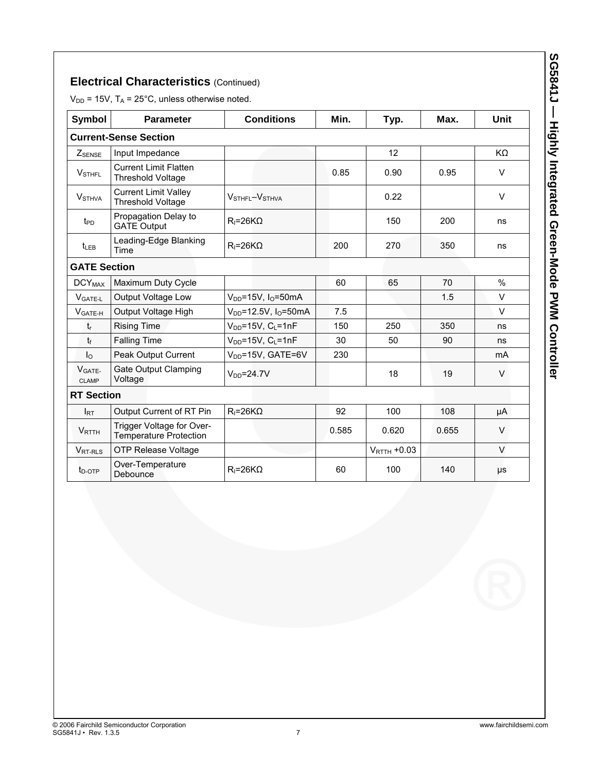## **Electrical Characteristics (Continued)**

 $V_{DD}$  = 15V,  $T_A$  = 25°C, unless otherwise noted.

| Symbol                   | <b>Parameter</b>                                           | <b>Conditions</b>            | Min.  | Typ.                     | Max.  | Unit    |
|--------------------------|------------------------------------------------------------|------------------------------|-------|--------------------------|-------|---------|
|                          | <b>Current-Sense Section</b>                               |                              |       |                          |       |         |
| <b>ZSENSE</b>            | Input Impedance                                            |                              |       | 12                       |       | KΩ      |
| <b>VSTHFL</b>            | <b>Current Limit Flatten</b><br><b>Threshold Voltage</b>   |                              | 0.85  | 0.90                     | 0.95  | $\vee$  |
| <b>V</b> STHVA           | <b>Current Limit Valley</b><br><b>Threshold Voltage</b>    | $VSTHFI - VSTHVA$            |       | 0.22                     |       | $\vee$  |
| $t_{\text{PD}}$          | Propagation Delay to<br><b>GATE Output</b>                 | $R = 26K\Omega$              |       | 150                      | 200   | ns      |
| $t_{\text{LEB}}$         | Leading-Edge Blanking<br>Time                              | $R_1 = 26K\Omega$            | 200   | 270                      | 350   | ns      |
| <b>GATE Section</b>      |                                                            |                              |       |                          |       |         |
| <b>DCY<sub>MAX</sub></b> | Maximum Duty Cycle                                         |                              | 60    | 65                       | 70    | $\%$    |
| $VGATE-L$                | Output Voltage Low                                         | $V_{DD}$ =15V, $I_{O}$ =50mA |       |                          | 1.5   | $\vee$  |
| $VGATE-H$                | Output Voltage High                                        | $V_{DD} = 12.5V, IO = 50mA$  | 7.5   |                          |       | $\vee$  |
| $t_{r}$                  | <b>Rising Time</b>                                         | $V_{DD}$ =15V, $C_L$ =1nF    | 150   | 250                      | 350   | ns      |
| $t_{f}$                  | <b>Falling Time</b>                                        | $V_{DD} = 15V$ , $C_L = 1nF$ | 30    | 50                       | 90    | ns      |
| $\mathsf{I}_\Omega$      | Peak Output Current                                        | $V_{DD} = 15V$ , GATE=6V     | 230   |                          |       | mA      |
| VGATE-<br>CLAMP          | <b>Gate Output Clamping</b><br>Voltage                     | $VDD=24.7V$                  |       | 18                       | 19    | $\vee$  |
| <b>RT Section</b>        |                                                            |                              |       |                          |       |         |
| $I_{RT}$                 | Output Current of RT Pin                                   | $R_1 = 26K\Omega$            | 92    | 100                      | 108   | μA      |
| <b>VRTTH</b>             | Trigger Voltage for Over-<br><b>Temperature Protection</b> |                              | 0.585 | 0.620                    | 0.655 | $\vee$  |
| V <sub>RT-RLS</sub>      | <b>OTP Release Voltage</b>                                 |                              |       | $V_{\text{RTTH}} + 0.03$ |       | V       |
| $t_{\text{D-OTP}}$       | Over-Temperature<br>Debounce                               | $R_1 = 26K\Omega$            | 60    | 100                      | 140   | $\mu s$ |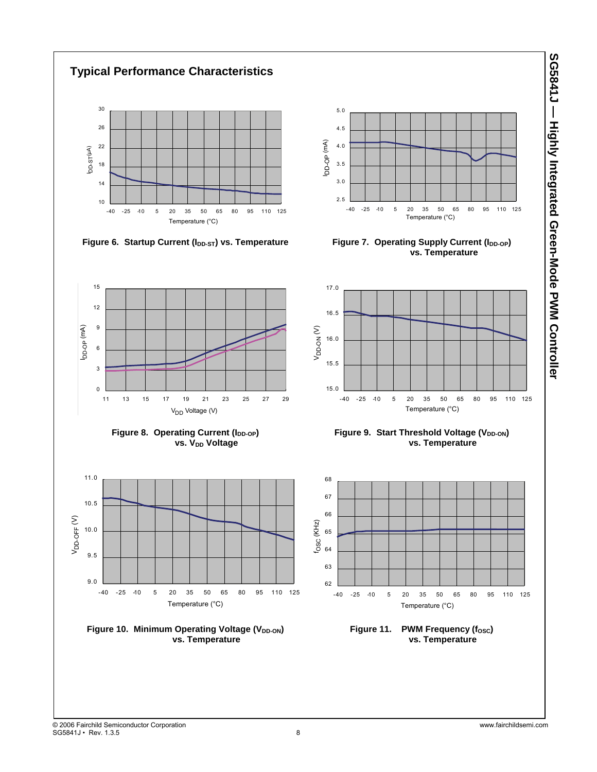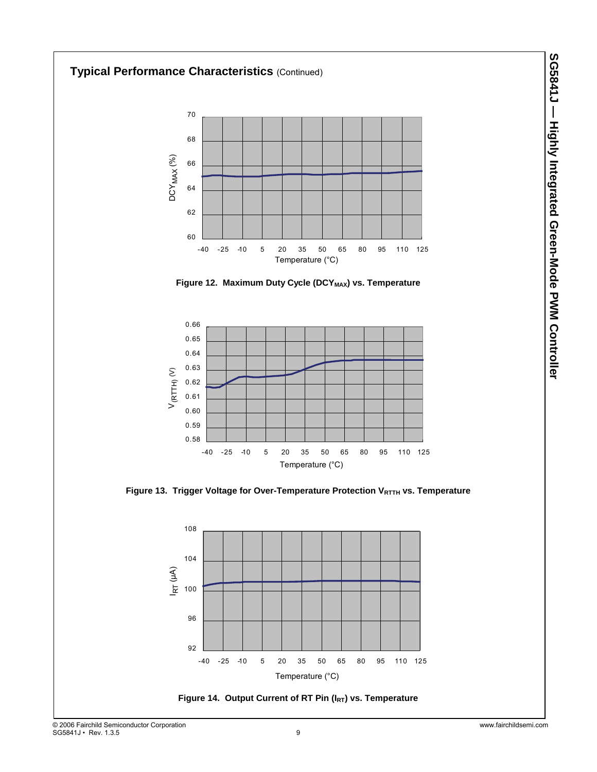



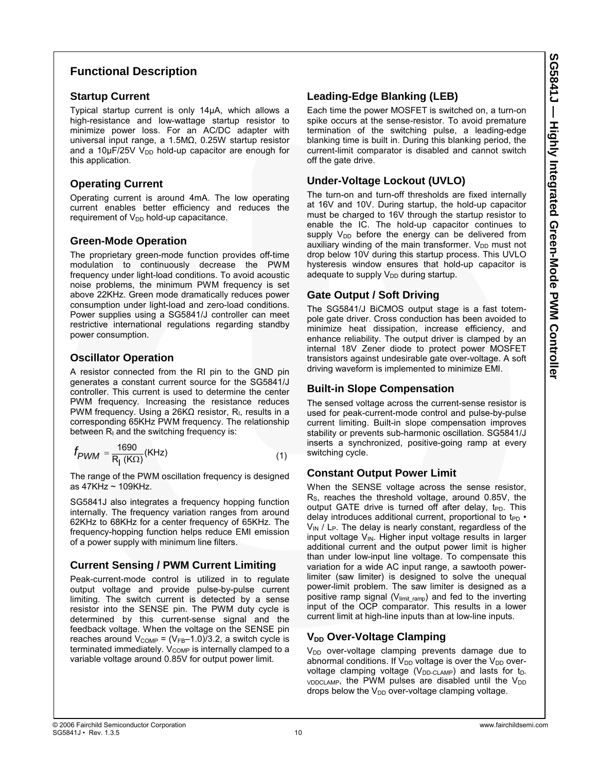## **Functional Description**

#### **Startup Current**

Typical startup current is only 14µA, which allows a high-resistance and low-wattage startup resistor to minimize power loss. For an AC/DC adapter with universal input range, a 1.5MΩ, 0.25W startup resistor and a 10 $\mu$ F/25V V<sub>DD</sub> hold-up capacitor are enough for this application.

### **Operating Current**

Operating current is around 4mA. The low operating current enables better efficiency and reduces the requirement of  $V_{DD}$  hold-up capacitance.

#### **Green-Mode Operation**

The proprietary green-mode function provides off-time modulation to continuously decrease the PWM frequency under light-load conditions. To avoid acoustic noise problems, the minimum PWM frequency is set above 22KHz. Green mode dramatically reduces power consumption under light-load and zero-load conditions. Power supplies using a SG5841/J controller can meet restrictive international regulations regarding standby power consumption.

#### **Oscillator Operation**

A resistor connected from the RI pin to the GND pin generates a constant current source for the SG5841/J controller. This current is used to determine the center PWM frequency. Increasing the resistance reduces PWM frequency. Using a 26KΩ resistor, R<sub>I</sub>, results in a corresponding 65KHz PWM frequency. The relationship between  $R<sub>1</sub>$  and the switching frequency is:

$$
f_{PWM} = \frac{1690}{R_1 (K\Omega)} (KHz)
$$
 (1)

The range of the PWM oscillation frequency is designed as 47KHz ~ 109KHz.

SG5841J also integrates a frequency hopping function internally. The frequency variation ranges from around 62KHz to 68KHz for a center frequency of 65KHz. The frequency-hopping function helps reduce EMI emission of a power supply with minimum line filters.

#### **Current Sensing / PWM Current Limiting**

Peak-current-mode control is utilized in to regulate output voltage and provide pulse-by-pulse current limiting. The switch current is detected by a sense resistor into the SENSE pin. The PWM duty cycle is determined by this current-sense signal and the feedback voltage. When the voltage on the SENSE pin reaches around  $V_{\text{COMP}} = (V_{\text{FB}} - 1.0)/3.2$ , a switch cycle is terminated immediately.  $V_{\text{COMP}}$  is internally clamped to a variable voltage around 0.85V for output power limit.

## **Leading-Edge Blanking (LEB)**

Each time the power MOSFET is switched on, a turn-on spike occurs at the sense-resistor. To avoid premature termination of the switching pulse, a leading-edge blanking time is built in. During this blanking period, the current-limit comparator is disabled and cannot switch off the gate drive.

### **Under-Voltage Lockout (UVLO)**

The turn-on and turn-off thresholds are fixed internally at 16V and 10V. During startup, the hold-up capacitor must be charged to 16V through the startup resistor to enable the IC. The hold-up capacitor continues to supply  $V_{DD}$  before the energy can be delivered from auxiliary winding of the main transformer.  $V_{DD}$  must not drop below 10V during this startup process. This UVLO hysteresis window ensures that hold-up capacitor is adequate to supply  $V_{DD}$  during startup.

#### **Gate Output / Soft Driving**

The SG5841/J BiCMOS output stage is a fast totempole gate driver. Cross conduction has been avoided to minimize heat dissipation, increase efficiency, and enhance reliability. The output driver is clamped by an internal 18V Zener diode to protect power MOSFET transistors against undesirable gate over-voltage. A soft driving waveform is implemented to minimize EMI.

#### **Built-in Slope Compensation**

The sensed voltage across the current-sense resistor is used for peak-current-mode control and pulse-by-pulse current limiting. Built-in slope compensation improves stability or prevents sub-harmonic oscillation. SG5841/J inserts a synchronized, positive-going ramp at every switching cycle.

#### **Constant Output Power Limit**

When the SENSE voltage across the sense resistor, RS, reaches the threshold voltage, around 0.85V, the output GATE drive is turned off after delay,  $tp<sub>D</sub>$ . This delay introduces additional current, proportional to  $t_{\text{PD}}$   $\cdot$  $V_{\text{IN}}$  / L<sub>P</sub>. The delay is nearly constant, regardless of the input voltage  $V_{\text{IN}}$ . Higher input voltage results in larger additional current and the output power limit is higher than under low-input line voltage. To compensate this variation for a wide AC input range, a sawtooth powerlimiter (saw limiter) is designed to solve the unequal power-limit problem. The saw limiter is designed as a positive ramp signal ( $V_{limit\ ramp}$ ) and fed to the inverting input of the OCP comparator. This results in a lower current limit at high-line inputs than at low-line inputs.

#### **V<sub>DD</sub>** Over-Voltage Clamping

 $V_{DD}$  over-voltage clamping prevents damage due to abnormal conditions. If  $V_{DD}$  voltage is over the  $V_{DD}$  overvoltage clamping voltage ( $V_{DD-CLAMP}$ ) and lasts for  $t_D$ - $VDDCLAMP$ , the PWM pulses are disabled until the  $V_{DD}$ drops below the  $V_{DD}$  over-voltage clamping voltage.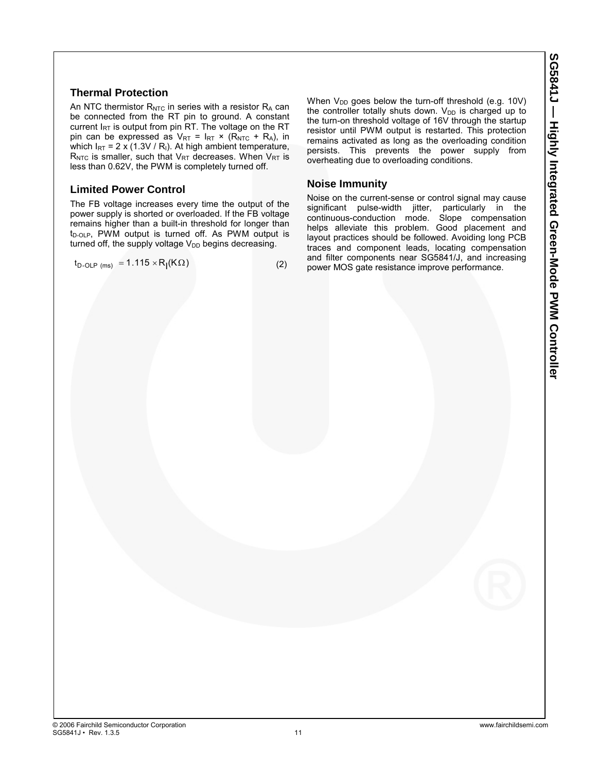#### **Thermal Protection**

An NTC thermistor  $R_{\text{NTC}}$  in series with a resistor  $R_A$  can be connected from the RT pin to ground. A constant current  $I_{RT}$  is output from pin RT. The voltage on the RT pin can be expressed as  $V_{RT} = I_{RT} \times (R_{NTC} + R_A)$ , in which  $I_{RT}$  = 2 x (1.3V / R<sub>I</sub>). At high ambient temperature,  $R_{NTC}$  is smaller, such that  $V_{RT}$  decreases. When  $V_{RT}$  is less than 0.62V, the PWM is completely turned off.

#### **Limited Power Control**

The FB voltage increases every time the output of the power supply is shorted or overloaded. If the FB voltage remains higher than a built-in threshold for longer than  $t_{D-OLP}$ , PWM output is turned off. As PWM output is turned off, the supply voltage  $V_{DD}$  begins decreasing.

 $t_{D-OLP \text{ (ms)}} = 1.115 \times R_I(K\Omega)$  (2)

When  $V_{DD}$  goes below the turn-off threshold (e.g. 10V) the controller totally shuts down.  $V_{DD}$  is charged up to the turn-on threshold voltage of 16V through the startup resistor until PWM output is restarted. This protection remains activated as long as the overloading condition persists. This prevents the power supply from overheating due to overloading conditions.

#### **Noise Immunity**

Noise on the current-sense or control signal may cause significant pulse-width jitter, particularly in the continuous-conduction mode. Slope compensation helps alleviate this problem. Good placement and layout practices should be followed. Avoiding long PCB traces and component leads, locating compensation and filter components near SG5841/J, and increasing power MOS gate resistance improve performance.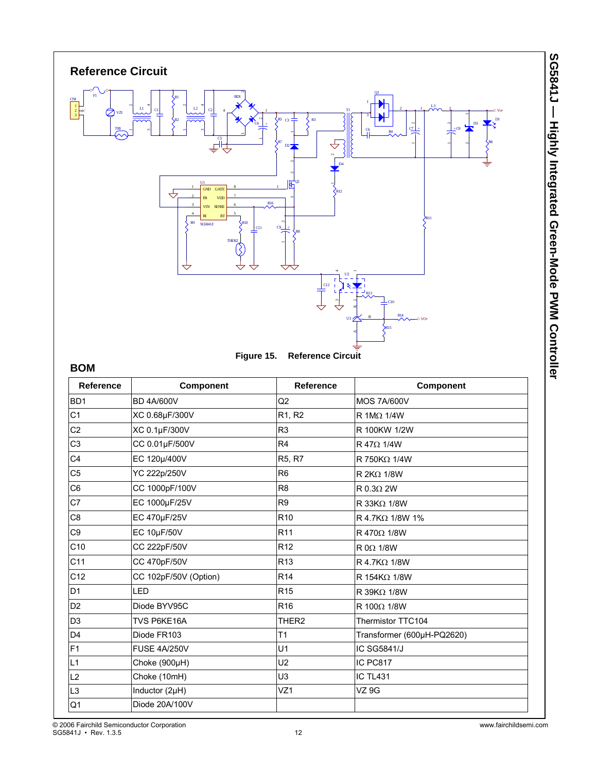



### **BOM**

| <b>Reference</b> | Component             | <b>Reference</b>  | Component                  |
|------------------|-----------------------|-------------------|----------------------------|
| B <sub>D</sub> 1 | <b>BD 4A/600V</b>     | Q2                | <b>MOS 7A/600V</b>         |
| C <sub>1</sub>   | XC 0.68µF/300V        | R1, R2            | R 1MΩ 1/4W                 |
| C2               | XC 0.1µF/300V         | R <sub>3</sub>    | R 100KW 1/2W               |
| C3               | CC 0.01µF/500V        | R <sub>4</sub>    | R 47Ω 1/4W                 |
| C4               | EC 120µ/400V          | R5, R7            | R 750K $\Omega$ 1/4W       |
| C <sub>5</sub>   | YC 222p/250V          | R <sub>6</sub>    | R 2KΩ 1/8W                 |
| C <sub>6</sub>   | CC 1000pF/100V        | R <sub>8</sub>    | R 0.3Ω 2W                  |
| C7               | EC 1000µF/25V         | R <sub>9</sub>    | R 33KΩ 1/8W                |
| C8               | EC 470µF/25V          | R <sub>10</sub>   | R 4.7KΩ 1/8W 1%            |
| C9               | EC 10µF/50V           | R <sub>11</sub>   | R 470Ω 1/8W                |
| C10              | CC 222pF/50V          | R <sub>12</sub>   | $R$ 0 $\Omega$ 1/8W        |
| C11              | CC 470pF/50V          | R <sub>13</sub>   | R 4.7KΩ 1/8W               |
| C12              | CC 102pF/50V (Option) | R <sub>14</sub>   | R 154KΩ 1/8W               |
| D <sub>1</sub>   | LED                   | R <sub>15</sub>   | $R$ 39K $\Omega$ 1/8W      |
| D <sub>2</sub>   | Diode BYV95C          | R <sub>16</sub>   | R 100Ω 1/8W                |
| D <sub>3</sub>   | TVS P6KE16A           | THER <sub>2</sub> | Thermistor TTC104          |
| D <sub>4</sub>   | Diode FR103           | T <sub>1</sub>    | Transformer (600µH-PQ2620) |
| F <sub>1</sub>   | <b>FUSE 4A/250V</b>   | U1                | IC SG5841/J                |
| L1               | Choke (900µH)         | U <sub>2</sub>    | IC PC817                   |
| L <sub>2</sub>   | Choke (10mH)          | U3                | <b>IC TL431</b>            |
| L3               | Inductor (2µH)        | VZ1               | <b>VZ 9G</b>               |
| Q1               | Diode 20A/100V        |                   |                            |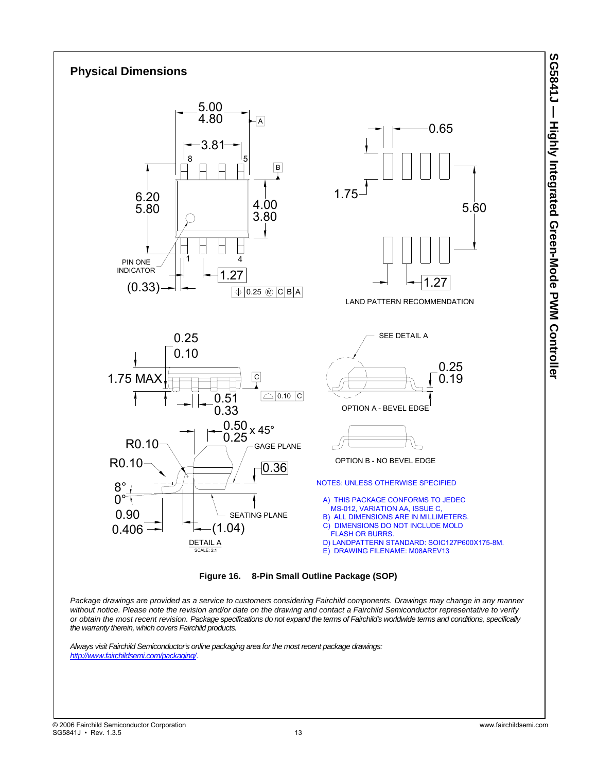

**Figure 16. 8-Pin Small Outline Package (SOP)** 

*Package drawings are provided as a service to customers considering Fairchild components. Drawings may change in any manner*  without notice. Please note the revision and/or date on the drawing and contact a Fairchild Semiconductor representative to verify *or obtain the most recent revision. Package specifications do not expand the terms of Fairchild's worldwide terms and conditions, specifically the warranty therein, which covers Fairchild products.* 

*Always visit Fairchild Semiconductor's online packaging area for the most recent package drawings: http://www.fairchildsemi.com/packaging/*.

**SG5841J — Highly Integrated Green-Mode PWM Controller** 

SG5841J — Highly Integrated Green-Mode PWM Controller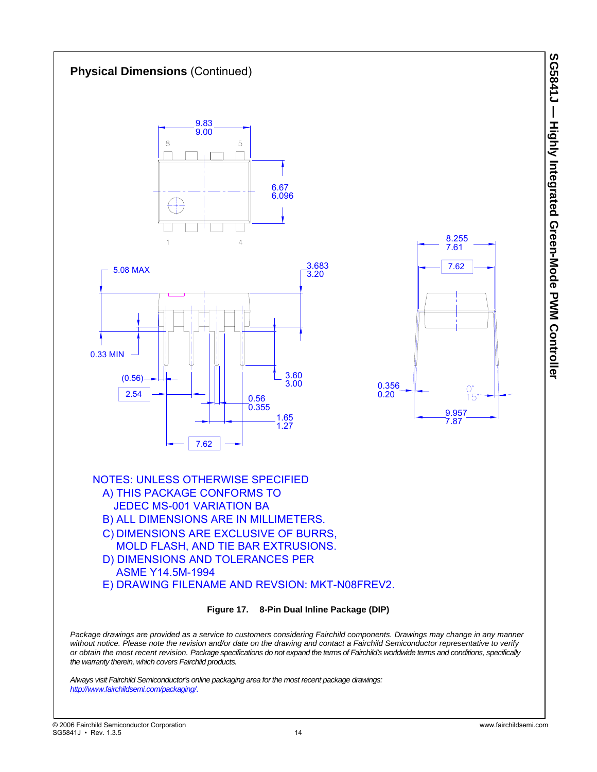